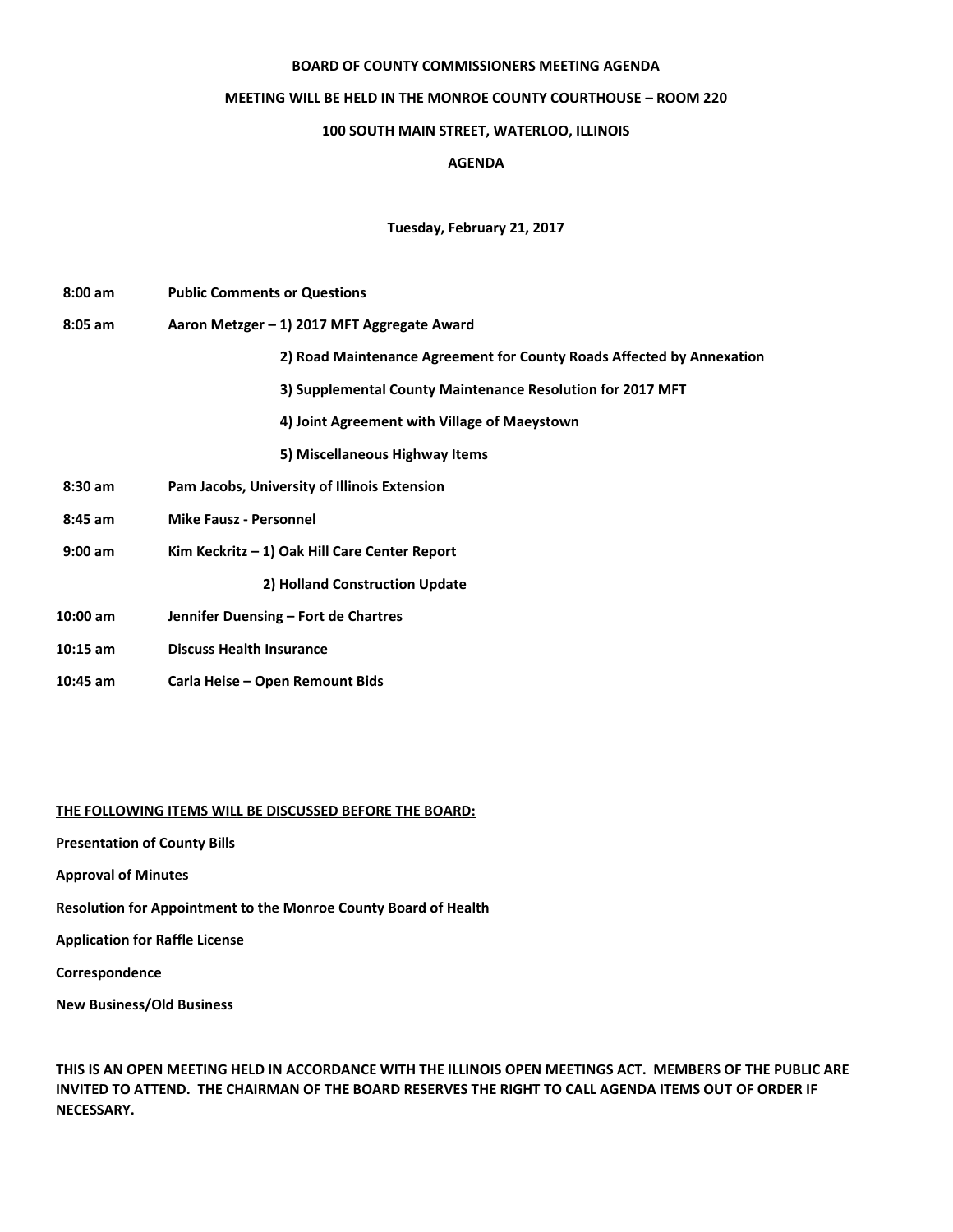#### **BOARD OF COUNTY COMMISSIONERS MEETING AGENDA**

## **MEETING WILL BE HELD IN THE MONROE COUNTY COURTHOUSE – ROOM 220**

# **100 SOUTH MAIN STREET, WATERLOO, ILLINOIS**

# **AGENDA**

## **Tuesday, February 21, 2017**

| $8:00 \text{ am}$ | <b>Public Comments or Questions</b>                                   |
|-------------------|-----------------------------------------------------------------------|
| $8:05$ am         | Aaron Metzger - 1) 2017 MFT Aggregate Award                           |
|                   | 2) Road Maintenance Agreement for County Roads Affected by Annexation |
|                   | 3) Supplemental County Maintenance Resolution for 2017 MFT            |
|                   | 4) Joint Agreement with Village of Maeystown                          |
|                   | 5) Miscellaneous Highway Items                                        |
| $8:30$ am         | Pam Jacobs, University of Illinois Extension                          |
| $8:45$ am         | <b>Mike Fausz - Personnel</b>                                         |
| $9:00$ am         | Kim Keckritz $-1$ ) Oak Hill Care Center Report                       |
|                   | 2) Holland Construction Update                                        |
| $10:00$ am        | Jennifer Duensing - Fort de Chartres                                  |
| $10:15$ am        | <b>Discuss Health Insurance</b>                                       |
| $10:45$ am        | Carla Heise – Open Remount Bids                                       |

#### **THE FOLLOWING ITEMS WILL BE DISCUSSED BEFORE THE BOARD:**

**Presentation of County Bills** 

**Approval of Minutes**

**Resolution for Appointment to the Monroe County Board of Health**

**Application for Raffle License**

**Correspondence**

**New Business/Old Business** 

**THIS IS AN OPEN MEETING HELD IN ACCORDANCE WITH THE ILLINOIS OPEN MEETINGS ACT. MEMBERS OF THE PUBLIC ARE INVITED TO ATTEND. THE CHAIRMAN OF THE BOARD RESERVES THE RIGHT TO CALL AGENDA ITEMS OUT OF ORDER IF NECESSARY.**